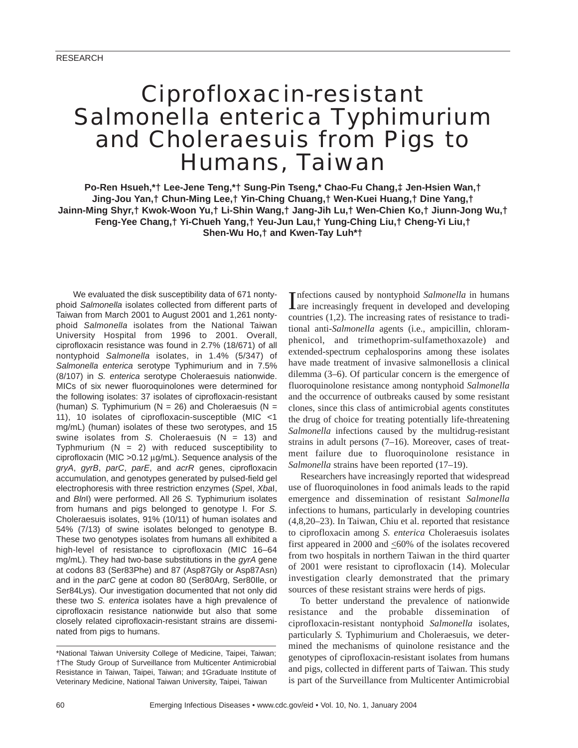## Ciprofloxacin-resistant *Salmonella enterica* Typhimurium and Choleraesuis from Pigs to Humans, Taiwan

**Po-Ren Hsueh,\*† Lee-Jene Teng,\*† Sung-Pin Tseng,\* Chao-Fu Chang,‡ Jen-Hsien Wan,† Jing-Jou Yan,† Chun-Ming Lee,† Yin-Ching Chuang,† Wen-Kuei Huang,† Dine Yang,† Jainn-Ming Shyr,† Kwok-Woon Yu,† Li-Shin Wang,† Jang-Jih Lu,† Wen-Chien Ko,† Jiunn-Jong Wu,† Feng-Yee Chang,† Yi-Chueh Yang,† Yeu-Jun Lau,† Yung-Ching Liu,† Cheng-Yi Liu,† Shen-Wu Ho,† and Kwen-Tay Luh\*†**

We evaluated the disk susceptibility data of 671 nontyphoid *Salmonella* isolates collected from different parts of Taiwan from March 2001 to August 2001 and 1,261 nontyphoid *Salmonella* isolates from the National Taiwan University Hospital from 1996 to 2001. Overall, ciprofloxacin resistance was found in 2.7% (18/671) of all nontyphoid *Salmonella* isolates, in 1.4% (5/347) of *Salmonella enterica* serotype Typhimurium and in 7.5% (8/107) in *S. enterica* serotype Choleraesuis nationwide. MICs of six newer fluoroquinolones were determined for the following isolates: 37 isolates of ciprofloxacin-resistant (human) *S.* Typhimurium ( $N = 26$ ) and Choleraesuis ( $N =$ 11), 10 isolates of ciprofloxacin-susceptible (MIC <1 mg/mL) (human) isolates of these two serotypes, and 15 swine isolates from *S*. Choleraesuis (N = 13) and Typhmurium  $(N = 2)$  with reduced susceptibility to ciprofloxacin (MIC >0.12 µg/mL). Sequence analysis of the *gryA*, *gyrB*, *parC*, *parE*, and *acrR* genes, ciprofloxacin accumulation, and genotypes generated by pulsed-field gel electrophoresis with three restriction enzymes (*Spe*I, *Xba*I, and *Bln*I) were performed. All 26 *S.* Typhimurium isolates from humans and pigs belonged to genotype I. For *S.* Choleraesuis isolates, 91% (10/11) of human isolates and 54% (7/13) of swine isolates belonged to genotype B. These two genotypes isolates from humans all exhibited a high-level of resistance to ciprofloxacin (MIC 16–64 mg/mL). They had two-base substitutions in the *gyrA* gene at codons 83 (Ser83Phe) and 87 (Asp87Gly or Asp87Asn) and in the *parC* gene at codon 80 (Ser80Arg, Ser80Ile, or Ser84Lys). Our investigation documented that not only did these two *S. enterica* isolates have a high prevalence of ciprofloxacin resistance nationwide but also that some closely related ciprofloxacin-resistant strains are disseminated from pigs to humans.

Infections caused by nontyphoid *Salmonella* in humans<br>Iare increasingly frequent in developed and developing are increasingly frequent in developed and developing countries (1,2). The increasing rates of resistance to traditional anti-*Salmonella* agents (i.e., ampicillin, chloramphenicol, and trimethoprim-sulfamethoxazole) and extended-spectrum cephalosporins among these isolates have made treatment of invasive salmonellosis a clinical dilemma (3–6). Of particular concern is the emergence of fluoroquinolone resistance among nontyphoid *Salmonella* and the occurrence of outbreaks caused by some resistant clones, since this class of antimicrobial agents constitutes the drug of choice for treating potentially life-threatening *Salmonella* infections caused by the multidrug-resistant strains in adult persons (7–16). Moreover, cases of treatment failure due to fluoroquinolone resistance in *Salmonella* strains have been reported (17–19).

Researchers have increasingly reported that widespread use of fluoroquinolones in food animals leads to the rapid emergence and dissemination of resistant *Salmonella* infections to humans, particularly in developing countries (4,8,20–23). In Taiwan, Chiu et al. reported that resistance to ciprofloxacin among *S. enterica* Choleraesuis isolates first appeared in 2000 and  $\leq 60\%$  of the isolates recovered from two hospitals in northern Taiwan in the third quarter of 2001 were resistant to ciprofloxacin (14). Molecular investigation clearly demonstrated that the primary sources of these resistant strains were herds of pigs.

To better understand the prevalence of nationwide resistance and the probable dissemination of ciprofloxacin-resistant nontyphoid *Salmonella* isolates, particularly *S.* Typhimurium and Choleraesuis, we determined the mechanisms of quinolone resistance and the genotypes of ciprofloxacin-resistant isolates from humans and pigs, collected in different parts of Taiwan. This study is part of the Surveillance from Multicenter Antimicrobial

<sup>\*</sup>National Taiwan University College of Medicine, Taipei, Taiwan; †The Study Group of Surveillance from Multicenter Antimicrobial Resistance in Taiwan, Taipei, Taiwan; and ‡Graduate Institute of Veterinary Medicine, National Taiwan University, Taipei, Taiwan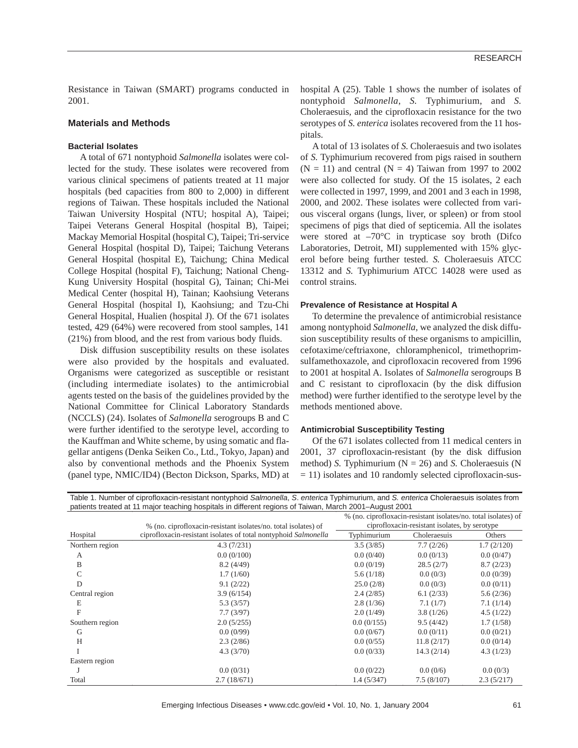Resistance in Taiwan (SMART) programs conducted in 2001.

#### **Materials and Methods**

#### **Bacterial Isolates**

A total of 671 nontyphoid *Salmonella* isolates were collected for the study. These isolates were recovered from various clinical specimens of patients treated at 11 major hospitals (bed capacities from 800 to 2,000) in different regions of Taiwan. These hospitals included the National Taiwan University Hospital (NTU; hospital A), Taipei; Taipei Veterans General Hospital (hospital B), Taipei; Mackay Memorial Hospital (hospital C), Taipei; Tri-service General Hospital (hospital D), Taipei; Taichung Veterans General Hospital (hospital E), Taichung; China Medical College Hospital (hospital F), Taichung; National Cheng-Kung University Hospital (hospital G), Tainan; Chi-Mei Medical Center (hospital H), Tainan; Kaohsiung Veterans General Hospital (hospital I), Kaohsiung; and Tzu-Chi General Hospital, Hualien (hospital J). Of the 671 isolates tested, 429 (64%) were recovered from stool samples, 141 (21%) from blood, and the rest from various body fluids.

Disk diffusion susceptibility results on these isolates were also provided by the hospitals and evaluated. Organisms were categorized as susceptible or resistant (including intermediate isolates) to the antimicrobial agents tested on the basis of the guidelines provided by the National Committee for Clinical Laboratory Standards (NCCLS) (24). Isolates of *Salmonella* serogroups B and C were further identified to the serotype level, according to the Kauffman and White scheme, by using somatic and flagellar antigens (Denka Seiken Co., Ltd., Tokyo, Japan) and also by conventional methods and the Phoenix System (panel type, NMIC/ID4) (Becton Dickson, Sparks, MD) at

hospital A (25). Table 1 shows the number of isolates of nontyphoid *Salmonella*, *S.* Typhimurium, and *S.* Choleraesuis, and the ciprofloxacin resistance for the two serotypes of *S. enterica* isolates recovered from the 11 hospitals.

A total of 13 isolates of *S.* Choleraesuis and two isolates of *S.* Typhimurium recovered from pigs raised in southern  $(N = 11)$  and central  $(N = 4)$  Taiwan from 1997 to 2002 were also collected for study. Of the 15 isolates, 2 each were collected in 1997, 1999, and 2001 and 3 each in 1998, 2000, and 2002. These isolates were collected from various visceral organs (lungs, liver, or spleen) or from stool specimens of pigs that died of septicemia. All the isolates were stored at  $-70^{\circ}$ C in trypticase soy broth (Difco Laboratories, Detroit, MI) supplemented with 15% glycerol before being further tested. *S.* Choleraesuis ATCC 13312 and *S.* Typhimurium ATCC 14028 were used as control strains.

#### **Prevalence of Resistance at Hospital A**

To determine the prevalence of antimicrobial resistance among nontyphoid *Salmonella*, we analyzed the disk diffusion susceptibility results of these organisms to ampicillin, cefotaxime/ceftriaxone, chloramphenicol, trimethoprimsulfamethoxazole, and ciprofloxacin recovered from 1996 to 2001 at hospital A. Isolates of *Salmonella* serogroups B and C resistant to ciprofloxacin (by the disk diffusion method) were further identified to the serotype level by the methods mentioned above.

#### **Antimicrobial Susceptibility Testing**

Of the 671 isolates collected from 11 medical centers in 2001, 37 ciprofloxacin-resistant (by the disk diffusion method) *S*. Typhimurium ( $N = 26$ ) and *S*. Choleraesuis (N = 11) isolates and 10 randomly selected ciprofloxacin-sus-

Table 1. Number of ciprofloxacin-resistant nontyphoid *Salmonella*, *S*. *enterica* Typhimurium, and *S. enterica* Choleraesuis isolates from patients treated at 11 major teaching hospitals in different regions of Taiwan, March 2001–August 2001

|                 | % (no. ciprofloxacin-resistant isolates/no. total isolates) of  | % (no. ciprofloxacin-resistant isolates/no. total isolates) of<br>ciprofloxacin-resistant isolates, by serotype |              |            |  |  |
|-----------------|-----------------------------------------------------------------|-----------------------------------------------------------------------------------------------------------------|--------------|------------|--|--|
| Hospital        | ciprofloxacin-resistant isolates of total nontyphoid Salmonella | Typhimurium                                                                                                     | Choleraesuis | Others     |  |  |
| Northern region | 4.3(7/231)                                                      | 3.5(3/85)                                                                                                       | 7.7(2/26)    | 1.7(2/120) |  |  |
| A               | 0.0(0/100)                                                      | 0.0(0/40)                                                                                                       | 0.0(0/13)    | 0.0(0/47)  |  |  |
| B               | 8.2(4/49)                                                       | 0.0(0/19)                                                                                                       | 28.5(2/7)    | 8.7(2/23)  |  |  |
| С               | 1.7(1/60)                                                       | 5.6(1/18)                                                                                                       | 0.0(0/3)     | 0.0(0/39)  |  |  |
| D               | 9.1(2/22)                                                       | 25.0(2/8)                                                                                                       | 0.0(0/3)     | 0.0(0/11)  |  |  |
| Central region  | 3.9(6/154)                                                      | 2.4(2/85)                                                                                                       | 6.1(2/33)    | 5.6(2/36)  |  |  |
| E               | 5.3(3/57)                                                       | 2.8(1/36)                                                                                                       | 7.1(1/7)     | 7.1(1/14)  |  |  |
| F               | 7.7(3/97)                                                       | 2.0(1/49)                                                                                                       | 3.8(1/26)    | 4.5(1/22)  |  |  |
| Southern region | 2.0(5/255)                                                      | 0.0(0/155)                                                                                                      | 9.5(4/42)    | 1.7(1/58)  |  |  |
| G               | 0.0(0/99)                                                       | 0.0(0/67)                                                                                                       | 0.0(0/11)    | 0.0(0/21)  |  |  |
| H               | 2.3(2/86)                                                       | 0.0(0/55)                                                                                                       | 11.8(2/17)   | 0.0(0/14)  |  |  |
|                 | 4.3(3/70)                                                       | 0.0(0/33)                                                                                                       | 14.3(2/14)   | 4.3(1/23)  |  |  |
| Eastern region  |                                                                 |                                                                                                                 |              |            |  |  |
|                 | 0.0(0/31)                                                       | 0.0(0/22)                                                                                                       | 0.0(0/6)     | 0.0(0/3)   |  |  |
| Total           | 2.7(18/671)                                                     | 1.4(5/347)                                                                                                      | 7.5(8/107)   | 2.3(5/217) |  |  |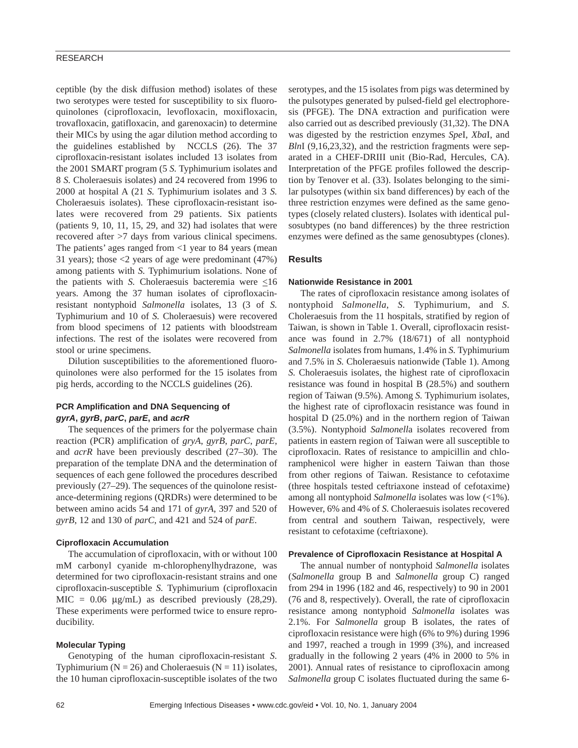#### RESEARCH

ceptible (by the disk diffusion method) isolates of these two serotypes were tested for susceptibility to six fluoroquinolones (ciprofloxacin, levofloxacin, moxifloxacin, trovafloxacin, gatifloxacin, and garenoxacin) to determine their MICs by using the agar dilution method according to the guidelines established by NCCLS (26). The 37 ciprofloxacin-resistant isolates included 13 isolates from the 2001 SMART program (5 *S.* Typhimurium isolates and 8 *S.* Choleraesuis isolates) and 24 recovered from 1996 to 2000 at hospital A (21 *S.* Typhimurium isolates and 3 *S.* Choleraesuis isolates). These ciprofloxacin-resistant isolates were recovered from 29 patients. Six patients (patients 9, 10, 11, 15, 29, and 32) had isolates that were recovered after >7 days from various clinical specimens. The patients' ages ranged from <1 year to 84 years (mean 31 years); those <2 years of age were predominant (47%) among patients with *S.* Typhimurium isolations. None of the patients with *S*. Choleraesuis bacteremia were  $\leq 16$ years. Among the 37 human isolates of ciprofloxacinresistant nontyphoid *Salmonella* isolates, 13 (3 of *S.* Typhimurium and 10 of *S.* Choleraesuis) were recovered from blood specimens of 12 patients with bloodstream infections. The rest of the isolates were recovered from stool or urine specimens.

Dilution susceptibilities to the aforementioned fluoroquinolones were also performed for the 15 isolates from pig herds, according to the NCCLS guidelines (26).

#### **PCR Amplification and DNA Sequencing of**  *gyrA***,** *gyrB***,** *parC***,** *parE***, and** *acrR*

The sequences of the primers for the polyermase chain reaction (PCR) amplification of *gryA*, *gyrB*, *parC*, *parE*, and *acrR* have been previously described (27–30). The preparation of the template DNA and the determination of sequences of each gene followed the procedures described previously (27–29). The sequences of the quinolone resistance-determining regions (QRDRs) were determined to be between amino acids 54 and 171 of *gyrA*, 397 and 520 of *gyrB*, 12 and 130 of *parC*, and 421 and 524 of *parE*.

#### **Ciprofloxacin Accumulation**

The accumulation of ciprofloxacin, with or without 100 mM carbonyl cyanide m-chlorophenylhydrazone, was determined for two ciprofloxacin-resistant strains and one ciprofloxacin-susceptible *S.* Typhimurium (ciprofloxacin MIC =  $0.06 \mu g/mL$  as described previously (28,29). These experiments were performed twice to ensure reproducibility.

#### **Molecular Typing**

Genotyping of the human ciprofloxacin-resistant *S.* Typhimurium ( $N = 26$ ) and Choleraesuis ( $N = 11$ ) isolates, the 10 human ciprofloxacin-susceptible isolates of the two

serotypes, and the 15 isolates from pigs was determined by the pulsotypes generated by pulsed-field gel electrophoresis (PFGE). The DNA extraction and purification were also carried out as described previously (31,32). The DNA was digested by the restriction enzymes *Spe*I, *Xba*I, and *Bln*I (9,16,23,32), and the restriction fragments were separated in a CHEF-DRIII unit (Bio-Rad, Hercules, CA). Interpretation of the PFGE profiles followed the description by Tenover et al. (33). Isolates belonging to the similar pulsotypes (within six band differences) by each of the three restriction enzymes were defined as the same genotypes (closely related clusters). Isolates with identical pulsosubtypes (no band differences) by the three restriction enzymes were defined as the same genosubtypes (clones).

#### **Results**

#### **Nationwide Resistance in 2001**

The rates of ciprofloxacin resistance among isolates of nontyphoid *Salmonella*, *S.* Typhimurium, and *S.* Choleraesuis from the 11 hospitals, stratified by region of Taiwan, is shown in Table 1. Overall, ciprofloxacin resistance was found in 2.7% (18/671) of all nontyphoid *Salmonella* isolates from humans, 1.4% in *S.* Typhimurium and 7.5% in *S.* Choleraesuis nationwide (Table 1). Among *S.* Choleraesuis isolates, the highest rate of ciprofloxacin resistance was found in hospital B (28.5%) and southern region of Taiwan (9.5%). Among *S.* Typhimurium isolates, the highest rate of ciprofloxacin resistance was found in hospital D (25.0%) and in the northern region of Taiwan (3.5%). Nontyphoid *Salmonell*a isolates recovered from patients in eastern region of Taiwan were all susceptible to ciprofloxacin. Rates of resistance to ampicillin and chloramphenicol were higher in eastern Taiwan than those from other regions of Taiwan. Resistance to cefotaxime (three hospitals tested ceftriaxone instead of cefotaxime) among all nontyphoid *Salmonella* isolates was low (<1%). However, 6% and 4% of *S.* Choleraesuis isolates recovered from central and southern Taiwan, respectively, were resistant to cefotaxime (ceftriaxone).

#### **Prevalence of Ciprofloxacin Resistance at Hospital A**

The annual number of nontyphoid *Salmonella* isolates (*Salmonella* group B and *Salmonella* group C) ranged from 294 in 1996 (182 and 46, respectively) to 90 in 2001 (76 and 8, respectively). Overall, the rate of ciprofloxacin resistance among nontyphoid *Salmonella* isolates was 2.1%. For *Salmonella* group B isolates, the rates of ciprofloxacin resistance were high (6% to 9%) during 1996 and 1997, reached a trough in 1999 (3%), and increased gradually in the following 2 years (4% in 2000 to 5% in 2001). Annual rates of resistance to ciprofloxacin among *Salmonella* group C isolates fluctuated during the same 6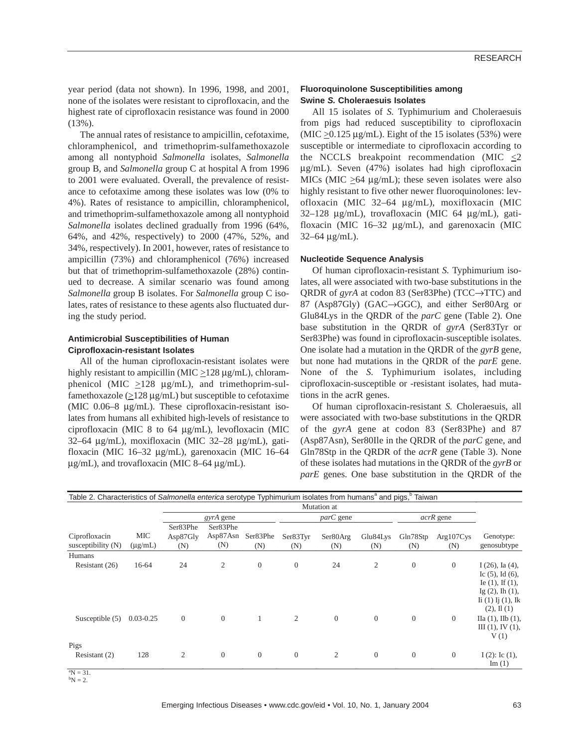year period (data not shown). In 1996, 1998, and 2001, none of the isolates were resistant to ciprofloxacin, and the highest rate of ciprofloxacin resistance was found in 2000 (13%).

The annual rates of resistance to ampicillin, cefotaxime, chloramphenicol, and trimethoprim-sulfamethoxazole among all nontyphoid *Salmonella* isolates, *Salmonella* group B, and *Salmonella* group C at hospital A from 1996 to 2001 were evaluated. Overall, the prevalence of resistance to cefotaxime among these isolates was low (0% to 4%). Rates of resistance to ampicillin, chloramphenicol, and trimethoprim-sulfamethoxazole among all nontyphoid *Salmonella* isolates declined gradually from 1996 (64%, 64%, and 42%, respectively) to 2000 (47%, 52%, and 34%, respectively). In 2001, however, rates of resistance to ampicillin (73%) and chloramphenicol (76%) increased but that of trimethoprim-sulfamethoxazole (28%) continued to decrease. A similar scenario was found among *Salmonella* group B isolates. For *Salmonella* group C isolates, rates of resistance to these agents also fluctuated during the study period.

#### **Antimicrobial Susceptibilities of Human Ciprofloxacin-resistant Isolates**

All of the human ciprofloxacin-resistant isolates were highly resistant to ampicillin (MIC  $\geq$ 128 µg/mL), chloramphenicol (MIC  $\geq$ 128 µg/mL), and trimethoprim-sulfamethoxazole ( $\geq$ 128 µg/mL) but susceptible to cefotaxime (MIC 0.06–8 µg/mL). These ciprofloxacin-resistant isolates from humans all exhibited high-levels of resistance to ciprofloxacin (MIC 8 to 64 µg/mL), levofloxacin (MIC 32–64 µg/mL), moxifloxacin (MIC 32–28 µg/mL), gatifloxacin (MIC 16–32 µg/mL), garenoxacin (MIC 16–64  $\mu$ g/mL), and trovafloxacin (MIC 8–64  $\mu$ g/mL).

#### **Fluoroquinolone Susceptibilities among Swine** *S.* **Choleraesuis Isolates**

All 15 isolates of *S.* Typhimurium and Choleraesuis from pigs had reduced susceptibility to ciprofloxacin  $(MIC > 0.125 \mu g/mL)$ . Eight of the 15 isolates (53%) were susceptible or intermediate to ciprofloxacin according to the NCCLS breakpoint recommendation (MIC <2 µg/mL). Seven (47%) isolates had high ciprofloxacin MICs (MIC  $>64 \mu g/mL$ ); these seven isolates were also highly resistant to five other newer fluoroquinolones: levofloxacin (MIC 32–64 µg/mL), moxifloxacin (MIC 32–128 µg/mL), trovafloxacin (MIC 64 µg/mL), gatifloxacin (MIC 16–32 µg/mL), and garenoxacin (MIC  $32-64 \mu g/mL$ ).

#### **Nucleotide Sequence Analysis**

Of human ciprofloxacin-resistant *S.* Typhimurium isolates, all were associated with two-base substitutions in the QRDR of *gyrA* at codon 83 (Ser83Phe) (TCC→TTC) and 87 (Asp87Gly) (GAC→GGC), and either Ser80Arg or Glu84Lys in the QRDR of the *parC* gene (Table 2). One base substitution in the QRDR of *gyrA* (Ser83Tyr or Ser83Phe) was found in ciprofloxacin-susceptible isolates. One isolate had a mutation in the QRDR of the *gyrB* gene, but none had mutations in the QRDR of the *parE* gene. None of the *S.* Typhimurium isolates, including ciprofloxacin-susceptible or -resistant isolates, had mutations in the acrR genes.

Of human ciprofloxacin-resistant *S.* Choleraesuis, all were associated with two-base substitutions in the QRDR of the *gyrA* gene at codon 83 (Ser83Phe) and 87 (Asp87Asn), Ser80Ile in the QRDR of the *parC* gene, and Gln78Stp in the QRDR of the *acrR* gene (Table 3). None of these isolates had mutations in the QRDR of the *gyrB* or *parE* genes. One base substitution in the QRDR of the

| Table 2. Characteristics of Salmonella enterica serotype Typhimurium isolates from humans <sup>a</sup> and pigs, <sup>b</sup> Taiwan |                     |                             |                             |                 |                 |                 |                 |                  |                  |                                                                                                                                                            |
|--------------------------------------------------------------------------------------------------------------------------------------|---------------------|-----------------------------|-----------------------------|-----------------|-----------------|-----------------|-----------------|------------------|------------------|------------------------------------------------------------------------------------------------------------------------------------------------------------|
|                                                                                                                                      |                     | Mutation at                 |                             |                 |                 |                 |                 |                  |                  |                                                                                                                                                            |
|                                                                                                                                      |                     | <i>gyrA</i> gene            |                             |                 | parC gene       |                 |                 | <i>acrR</i> gene |                  |                                                                                                                                                            |
| Ciprofloxacin<br>susceptibility $(N)$                                                                                                | MIC<br>$(\mu g/mL)$ | Ser83Phe<br>Asp87Gly<br>(N) | Ser83Phe<br>Asp87Asn<br>(N) | Ser83Phe<br>(N) | Ser83Tyr<br>(N) | Ser80Arg<br>(N) | Glu84Lys<br>(N) | Gln78Stp<br>(N)  | Arg107Cys<br>(N) | Genotype:<br>genosubtype                                                                                                                                   |
| Humans                                                                                                                               |                     |                             |                             |                 |                 |                 |                 |                  |                  |                                                                                                                                                            |
| Resistant (26)                                                                                                                       | 16-64               | 24                          | $\mathfrak{2}$              | $\overline{0}$  | $\theta$        | 24              | $\overline{2}$  | $\theta$         | $\theta$         | $I(26)$ , Ia $(4)$ ,<br>Ic $(5)$ , Id $(6)$ ,<br>Ie $(1)$ , If $(1)$ ,<br>Ig $(2)$ , Ih $(1)$ ,<br>$\rm{I}i$ (1) $\rm{I}j$ (1), $\rm{I}k$<br>$(2), \Pi(1)$ |
| Susceptible $(5)$<br>Pigs                                                                                                            | $0.03 - 0.25$       | $\theta$                    | $\theta$                    | 1               | $\overline{2}$  | $\mathbf{0}$    | $\overline{0}$  | $\overline{0}$   | $\theta$         | $\Pi$ a (1), $\Pi$ b (1),<br>III(1), IV(1),<br>V(1)                                                                                                        |
| Resistant (2)                                                                                                                        | 128                 | $\overline{2}$              | $\Omega$                    | $\theta$        | $\theta$        | 2               | $\theta$        | $\overline{0}$   | $\theta$         | $I(2)$ : Ic $(1)$ ,<br>Im(1)                                                                                                                               |

 ${}^{a}N = 31.$  ${}^{b}N = 2.$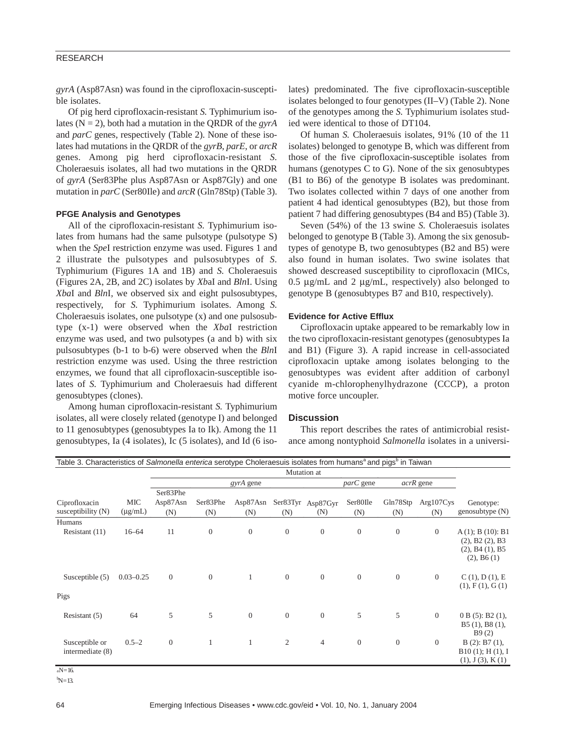#### RESEARCH

*gyrA* (Asp87Asn) was found in the ciprofloxacin-susceptible isolates.

Of pig herd ciprofloxacin-resistant *S.* Typhimurium isolates ( $N = 2$ ), both had a mutation in the QRDR of the *gyrA* and *parC* genes, respectively (Table 2). None of these isolates had mutations in the QRDR of the *gyrB*, *parE*, or *arcR* genes. Among pig herd ciprofloxacin-resistant *S.* Choleraesuis isolates, all had two mutations in the QRDR of *gyrA* (Ser83Phe plus Asp87Asn or Asp87Gly) and one mutation in *parC* (Ser80Ile) and *arcR* (Gln78Stp) (Table 3).

#### **PFGE Analysis and Genotypes**

All of the ciprofloxacin-resistant *S.* Typhimurium isolates from humans had the same pulsotype (pulsotype S) when the *Spe*I restriction enzyme was used. Figures 1 and 2 illustrate the pulsotypes and pulsosubtypes of *S.* Typhimurium (Figures 1A and 1B) and *S.* Choleraesuis (Figures 2A, 2B, and 2C) isolates by *Xb*aI and *Bln*I. Using *Xba*I and *Bln*I, we observed six and eight pulsosubtypes, respectively, for *S.* Typhimurium isolates. Among *S.* Choleraesuis isolates, one pulsotype (x) and one pulsosubtype (x-1) were observed when the *Xba*I restriction enzyme was used, and two pulsotypes (a and b) with six pulsosubtypes (b-1 to b-6) were observed when the *Bln*I restriction enzyme was used. Using the three restriction enzymes, we found that all ciprofloxacin-susceptible isolates of *S.* Typhimurium and Choleraesuis had different genosubtypes (clones).

Among human ciprofloxacin-resistant *S.* Typhimurium isolates, all were closely related (genotype I) and belonged to 11 genosubtypes (genosubtypes Ia to Ik). Among the 11 genosubtypes, Ia (4 isolates), Ic (5 isolates), and Id (6 iso-

lates) predominated. The five ciprofloxacin-susceptible isolates belonged to four genotypes (II–V) (Table 2). None of the genotypes among the *S.* Typhimurium isolates studied were identical to those of DT104.

Of human *S.* Choleraesuis isolates, 91% (10 of the 11 isolates) belonged to genotype B, which was different from those of the five ciprofloxacin-susceptible isolates from humans (genotypes C to G). None of the six genosubtypes (B1 to B6) of the genotype B isolates was predominant. Two isolates collected within 7 days of one another from patient 4 had identical genosubtypes (B2), but those from patient 7 had differing genosubtypes (B4 and B5) (Table 3).

Seven (54%) of the 13 swine *S.* Choleraesuis isolates belonged to genotype B (Table 3). Among the six genosubtypes of genotype B, two genosubtypes (B2 and B5) were also found in human isolates. Two swine isolates that showed descreased susceptibility to ciprofloxacin (MICs, 0.5 µg/mL and 2 µg/mL, respectively) also belonged to genotype B (genosubtypes B7 and B10, respectively).

#### **Evidence for Active Efflux**

Ciprofloxacin uptake appeared to be remarkably low in the two ciprofloxacin-resistant genotypes (genosubtypes Ia and B1) (Figure 3). A rapid increase in cell-associated ciprofloxacin uptake among isolates belonging to the genosubtypes was evident after addition of carbonyl cyanide m-chlorophenylhydrazone (CCCP), a proton motive force uncoupler.

#### **Discussion**

This report describes the rates of antimicrobial resistance among nontyphoid *Salmonella* isolates in a universi-

| Table 3. Characteristics of Salmonella enterica serotype Choleraesuis isolates from humans <sup>a</sup> and pigs <sup>b</sup> in Taiwan |                     |                             |                 |                 |                |                          |                 |                  |                  |                                                                                              |
|-----------------------------------------------------------------------------------------------------------------------------------------|---------------------|-----------------------------|-----------------|-----------------|----------------|--------------------------|-----------------|------------------|------------------|----------------------------------------------------------------------------------------------|
|                                                                                                                                         |                     | Mutation at                 |                 |                 |                |                          |                 |                  |                  |                                                                                              |
|                                                                                                                                         |                     |                             |                 | gyrA gene       |                |                          | $parC$ gene     |                  | acrR gene        |                                                                                              |
| Ciprofloxacin<br>susceptibility (N)                                                                                                     | MIC<br>$(\mu g/mL)$ | Ser83Phe<br>Asp87Asn<br>(N) | Ser83Phe<br>(N) | Asp87Asn<br>(N) | (N)            | Ser83Tyr Asp87Gyr<br>(N) | Ser80Ile<br>(N) | Gln78Stp<br>(N)  | Arg107Cys<br>(N) | Genotype:<br>genosubtype (N)                                                                 |
| Humans<br>Resistant (11)                                                                                                                | $16 - 64$           | 11                          | $\overline{0}$  | $\theta$        | $\mathbf{0}$   | $\overline{0}$           | $\overline{0}$  | $\boldsymbol{0}$ | $\mathbf{0}$     | $A(1)$ ; B $(10)$ : B1<br>$(2)$ , B2 $(2)$ , B3<br>$(2)$ , B4 $(1)$ , B5<br>$(2)$ , B6 $(1)$ |
| Susceptible (5)                                                                                                                         | $0.03 - 0.25$       | $\overline{0}$              | $\theta$        | $\mathbf{1}$    | $\overline{0}$ | $\overline{0}$           | $\mathbf{0}$    | $\mathbf{0}$     | $\overline{0}$   | C(1), D(1), E<br>(1), F(1), G(1)                                                             |
| Pigs                                                                                                                                    |                     |                             |                 |                 |                |                          |                 |                  |                  |                                                                                              |
| Resistant (5)                                                                                                                           | 64                  | 5                           | 5               | $\overline{0}$  | $\mathbf{0}$   | $\overline{0}$           | 5               | 5                | $\mathbf{0}$     | $0 B (5)$ : B2 $(1)$ ,<br>B5(1), B8(1),<br>B9(2)                                             |
| Susceptible or<br>intermediate (8)<br>$N-16$                                                                                            | $0.5 - 2$           | $\overline{0}$              | 1               | 1               | $\overline{2}$ | $\overline{4}$           | $\mathbf{0}$    | $\boldsymbol{0}$ | $\mathbf{0}$     | $B(2)$ : B7 $(1)$ ,<br>B10(1); H(1), I<br>(1), J(3), K(1)                                    |

 $\mathrm{^{b}N}$ =13.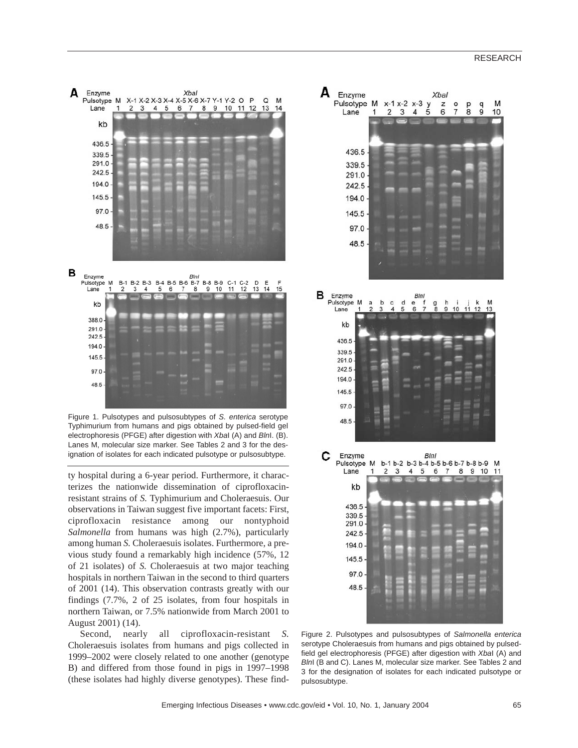

Figure 1. Pulsotypes and pulsosubtypes of *S. enterica* serotype Typhimurium from humans and pigs obtained by pulsed-field gel electrophoresis (PFGE) after digestion with *Xba*I (A) and *Bln*I. (B). Lanes M, molecular size marker. See Tables 2 and 3 for the designation of isolates for each indicated pulsotype or pulsosubtype.

ty hospital during a 6-year period. Furthermore, it characterizes the nationwide dissemination of ciprofloxacinresistant strains of *S.* Typhimurium and Choleraesuis. Our observations in Taiwan suggest five important facets: First, ciprofloxacin resistance among our nontyphoid *Salmonella* from humans was high (2.7%), particularly among human *S.* Choleraesuis isolates. Furthermore, a previous study found a remarkably high incidence (57%, 12 of 21 isolates) of *S.* Choleraesuis at two major teaching hospitals in northern Taiwan in the second to third quarters of 2001 (14). This observation contrasts greatly with our findings (7.7%, 2 of 25 isolates, from four hospitals in northern Taiwan, or 7.5% nationwide from March 2001 to August 2001) (14).

Second, nearly all ciprofloxacin-resistant *S.* Choleraesuis isolates from humans and pigs collected in 1999–2002 were closely related to one another (genotype B) and differed from those found in pigs in 1997–1998 (these isolates had highly diverse genotypes). These find-



serotype Choleraesuis from humans and pigs obtained by pulsedfield gel electrophoresis (PFGE) after digestion with *Xba*I (A) and *Bln*I (B and C). Lanes M, molecular size marker. See Tables 2 and 3 for the designation of isolates for each indicated pulsotype or pulsosubtype.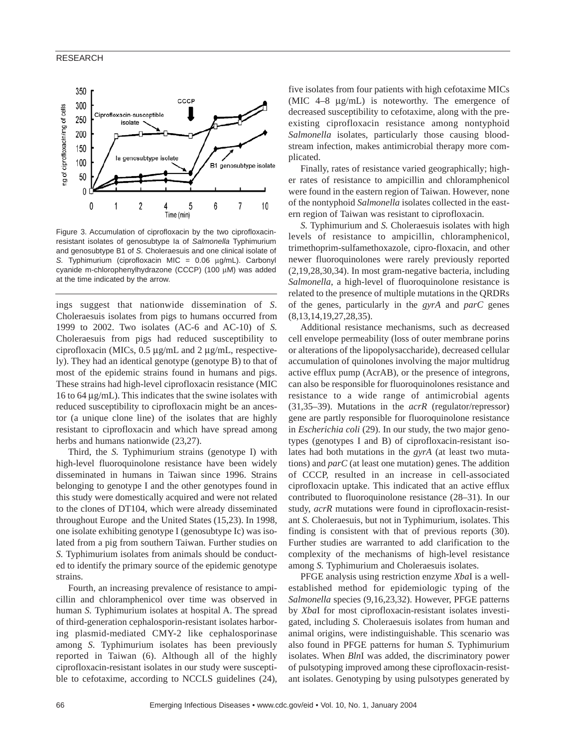

Figure 3. Accumulation of ciprofloxacin by the two ciprofloxacinresistant isolates of genosubtype Ia of *Salmonella* Typhimurium and genosubtype B1 of *S.* Choleraesuis and one clinical isolate of *S.* Typhimurium (ciprofloxacin MIC = 0.06 µg/mL). Carbonyl cyanide m-chlorophenylhydrazone (CCCP) (100 µM) was added at the time indicated by the arrow.

ings suggest that nationwide dissemination of *S.* Choleraesuis isolates from pigs to humans occurred from 1999 to 2002. Two isolates (AC-6 and AC-10) of *S.* Choleraesuis from pigs had reduced susceptibility to ciprofloxacin (MICs, 0.5 µg/mL and 2 µg/mL, respectively). They had an identical genotype (genotype B) to that of most of the epidemic strains found in humans and pigs. These strains had high-level ciprofloxacin resistance (MIC 16 to 64  $\mu$ g/mL). This indicates that the swine isolates with reduced susceptibility to ciprofloxacin might be an ancestor (a unique clone line) of the isolates that are highly resistant to ciprofloxacin and which have spread among herbs and humans nationwide (23,27).

Third, the *S.* Typhimurium strains (genotype I) with high-level fluoroquinolone resistance have been widely disseminated in humans in Taiwan since 1996. Strains belonging to genotype I and the other genotypes found in this study were domestically acquired and were not related to the clones of DT104, which were already disseminated throughout Europe and the United States (15,23). In 1998, one isolate exhibiting genotype I (genosubtype Ic) was isolated from a pig from southern Taiwan. Further studies on *S.* Typhimurium isolates from animals should be conducted to identify the primary source of the epidemic genotype strains.

Fourth, an increasing prevalence of resistance to ampicillin and chloramphenicol over time was observed in human *S.* Typhimurium isolates at hospital A. The spread of third-generation cephalosporin-resistant isolates harboring plasmid-mediated CMY-2 like cephalosporinase among *S.* Typhimurium isolates has been previously reported in Taiwan (6). Although all of the highly ciprofloxacin-resistant isolates in our study were susceptible to cefotaxime, according to NCCLS guidelines (24), five isolates from four patients with high cefotaxime MICs (MIC 4–8 µg/mL) is noteworthy. The emergence of decreased susceptibility to cefotaxime, along with the preexisting ciprofloxacin resistance among nontyphoid *Salmonella* isolates, particularly those causing bloodstream infection, makes antimicrobial therapy more complicated.

Finally, rates of resistance varied geographically; higher rates of resistance to ampicillin and chloramphenicol were found in the eastern region of Taiwan. However, none of the nontyphoid *Salmonella* isolates collected in the eastern region of Taiwan was resistant to ciprofloxacin.

*S.* Typhimurium and *S.* Choleraesuis isolates with high levels of resistance to ampicillin, chloramphenicol, trimethoprim-sulfamethoxazole, cipro-floxacin, and other newer fluoroquinolones were rarely previously reported (2,19,28,30,34). In most gram-negative bacteria, including *Salmonella*, a high-level of fluoroquinolone resistance is related to the presence of multiple mutations in the QRDRs of the genes, particularly in the *gyrA* and *parC* genes (8,13,14,19,27,28,35).

Additional resistance mechanisms, such as decreased cell envelope permeability (loss of outer membrane porins or alterations of the lipopolysaccharide), decreased cellular accumulation of quinolones involving the major multidrug active efflux pump (AcrAB), or the presence of integrons, can also be responsible for fluoroquinolones resistance and resistance to a wide range of antimicrobial agents (31,35–39). Mutations in the *acrR* (regulator/repressor) gene are partly responsible for fluoroquinolone resistance in *Escherichia coli* (29). In our study, the two major genotypes (genotypes I and B) of ciprofloxacin-resistant isolates had both mutations in the *gyrA* (at least two mutations) and *parC* (at least one mutation) genes. The addition of CCCP, resulted in an increase in cell-associated ciprofloxacin uptake. This indicated that an active efflux contributed to fluoroquinolone resistance (28–31). In our study, *acrR* mutations were found in ciprofloxacin-resistant *S.* Choleraesuis, but not in Typhimurium, isolates. This finding is consistent with that of previous reports (30). Further studies are warranted to add clarification to the complexity of the mechanisms of high-level resistance among *S.* Typhimurium and Choleraesuis isolates.

PFGE analysis using restriction enzyme *Xba*I is a wellestablished method for epidemiologic typing of the *Salmonella* species (9,16,23,32). However, PFGE patterns by *Xba*I for most ciprofloxacin-resistant isolates investigated, including *S.* Choleraesuis isolates from human and animal origins, were indistinguishable. This scenario was also found in PFGE patterns for human *S.* Typhimurium isolates. When *Bln*I was added, the discriminatory power of pulsotyping improved among these ciprofloxacin-resistant isolates. Genotyping by using pulsotypes generated by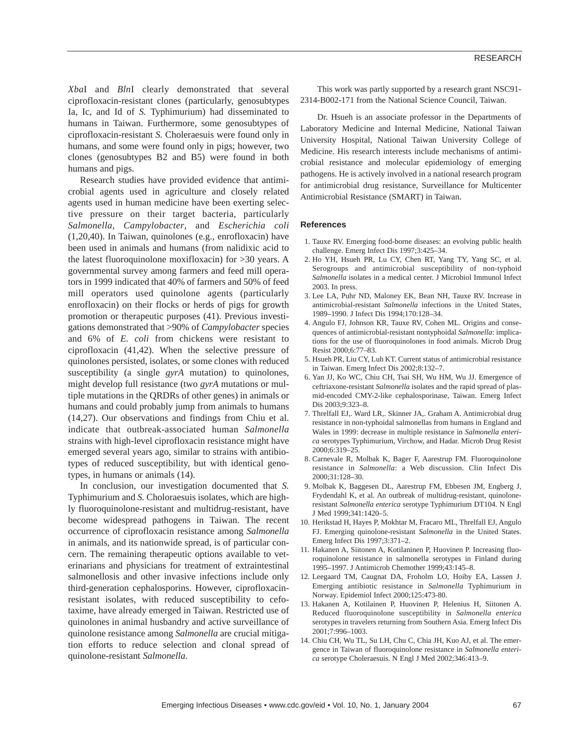*Xba*I and *Bln*I clearly demonstrated that several ciprofloxacin-resistant clones (particularly, genosubtypes Ia, Ic, and Id of *S.* Typhimurium) had disseminated to humans in Taiwan. Furthermore, some genosubtypes of ciprofloxacin-resistant *S.* Choleraesuis were found only in humans, and some were found only in pigs; however, two clones (genosubtypes B2 and B5) were found in both humans and pigs.

Research studies have provided evidence that antimicrobial agents used in agriculture and closely related agents used in human medicine have been exerting selective pressure on their target bacteria, particularly *Salmonella*, *Campylobacter*, and *Escherichia coli* (1,20,40). In Taiwan, quinolones (e.g., enrofloxacin) have been used in animals and humans (from nalidixic acid to the latest fluoroquinolone moxifloxacin) for >30 years. A governmental survey among farmers and feed mill operators in 1999 indicated that 40% of farmers and 50% of feed mill operators used quinolone agents (particularly enrofloxacin) on their flocks or herds of pigs for growth promotion or therapeutic purposes (41). Previous investigations demonstrated that >90% of *Campylobacter* species and 6% of *E. coli* from chickens were resistant to ciprofloxacin (41,42). When the selective pressure of quinolones persisted, isolates, or some clones with reduced susceptibility (a single *gyrA* mutation) to quinolones, might develop full resistance (two *gyrA* mutations or multiple mutations in the QRDRs of other genes) in animals or humans and could probably jump from animals to humans (14,27). Our observations and findings from Chiu et al. indicate that outbreak-associated human *Salmonella* strains with high-level ciprofloxacin resistance might have emerged several years ago, similar to strains with antibiotypes of reduced susceptibility, but with identical genotypes, in humans or animals (14).

In conclusion, our investigation documented that *S.* Typhimurium and *S.* Choloraesuis isolates, which are highly fluoroquinolone-resistant and multidrug-resistant, have become widespread pathogens in Taiwan. The recent occurrence of ciprofloxacin resistance among *Salmonella* in animals, and its nationwide spread, is of particular concern. The remaining therapeutic options available to veterinarians and physicians for treatment of extraintestinal salmonellosis and other invasive infections include only third-generation cephalosporins. However, ciprofloxacinresistant isolates, with reduced susceptibility to cefotaxime, have already emerged in Taiwan. Restricted use of quinolones in animal husbandry and active surveillance of quinolone resistance among *Salmonella* are crucial mitigation efforts to reduce selection and clonal spread of quinolone-resistant *Salmonella*.

This work was partly supported by a research grant NSC91- 2314-B002-171 from the National Science Council, Taiwan.

Dr. Hsueh is an associate professor in the Departments of Laboratory Medicine and Internal Medicine, National Taiwan University Hospital, National Taiwan University College of Medicine. His research interests include mechanisms of antimicrobial resistance and molecular epidemiology of emerging pathogens. He is actively involved in a national research program for antimicrobial drug resistance, Surveillance for Multicenter Antimicrobial Resistance (SMART) in Taiwan.

#### **References**

- 1. Tauxe RV. Emerging food-borne diseases: an evolving public health challenge. Emerg Infect Dis 1997;3:425–34.
- 2. Ho YH, Hsueh PR, Lu CY, Chen RT, Yang TY, Yang SC, et al. Serogroups and antimicrobial susceptibility of non-typhoid *Salmonella* isolates in a medical center. J Microbiol Immunol Infect 2003. In press.
- 3. Lee LA, Puhr ND, Maloney EK, Bean NH, Tauxe RV. Increase in antimicrobial-resistant *Salmonella* infections in the United States, 1989–1990. J Infect Dis 1994;170:128–34.
- 4. Angulo FJ, Johnson KR, Tauxe RV, Cohen ML. Origins and consequences of antimicrobial-resistant nontyphoidal *Salmonella*: implications for the use of fluoroquinolones in food animals. Microb Drug Resist 2000;6:77–83.
- 5. Hsueh PR, Liu CY, Luh KT. Current status of antimicrobial resistance in Taiwan. Emerg Infect Dis 2002;8:132–7.
- 6. Yan JJ, Ko WC, Chiu CH, Tsai SH, Wu HM, Wu JJ. Emergence of ceftriaxone-resistant *Salmonella* isolates and the rapid spread of plasmid-encoded CMY-2-like cephalosporinase, Taiwan. Emerg Infect Dis 2003;9:323–8.
- 7. Threlfall EJ,. Ward LR,. Skinner JA,. Graham A. Antimicrobial drug resistance in non-typhoidal salmonellas from humans in England and Wales in 1999: decrease in multiple resistance in *Salmonella enterica* serotypes Typhimurium, Virchow, and Hadar. Microb Drug Resist 2000;6:319–25.
- 8. Carnevale R, Molbak K, Bager F, Aarestrup FM. Fluoroquinolone resistance in *Salmonella*: a Web discussion. Clin Infect Dis 2000;31:128–30.
- 9. Molbak K, Baggesen DL, Aarestrup FM, Ebbesen JM, Engberg J, Frydendahl K, et al. An outbreak of multidrug-resistant, quinoloneresistant *Salmonella enterica* serotype Typhimurium DT104. N Engl J Med 1999;341:1420–5.
- 10. Herikstad H, Hayes P, Mokhtar M, Fracaro ML, Threlfall EJ, Angulo FJ. Emerging quinolone-resistant *Salmonella* in the United States. Emerg Infect Dis 1997;3:371–2.
- 11. Hakanen A, Siitonen A, Kotilaninen P, Huovinen P. Increasing fluoroquinolone resistance in salmonella serotypes in Finland during 1995–1997. J Antimicrob Chemother 1999;43:145–8.
- 12. Leegaard TM, Caugnat DA, Froholm LO, Hoiby EA, Lassen J. Emerging antibiotic resistance in *Salmonella* Typhimurium in Norway. Epidemiol Infect 2000;125:473-80.
- 13. Hakanen A, Kotilainen P, Huovinen P, Helenius H, Siitonen A. Reduced fluoroquinolone susceptibility in *Salmonella enterica* serotypes in travelers returning from Southern Asia. Emerg Infect Dis 2001;7:996–1003.
- 14. Chiu CH, Wu TL, Su LH, Chu C, Chia JH, Kuo AJ, et al. The emergence in Taiwan of fluoroquinolone resistance in *Salmonella enterica* serotype Choleraesuis. N Engl J Med 2002;346:413–9.